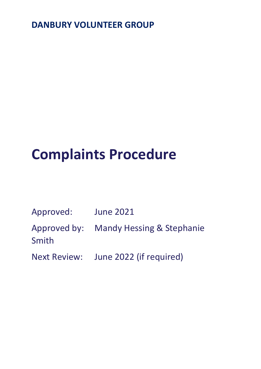## **DANBURY VOLUNTEER GROUP**

# **Complaints Procedure**

| Approved: | <b>June 2021</b>                       |
|-----------|----------------------------------------|
|           | Approved by: Mandy Hessing & Stephanie |
| Smith     |                                        |

Next Review: June 2022 (if required)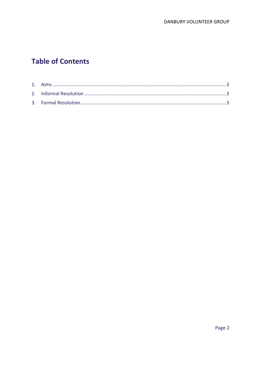### **Table of Contents**